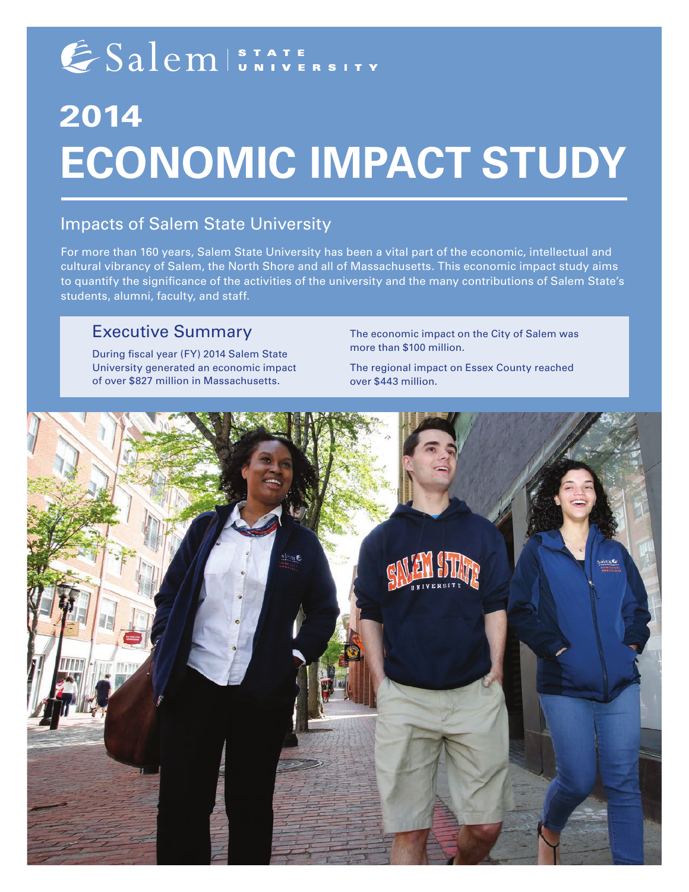# ESalem ISTATE SITY

# **2014 ECONOMIC IMPACT STUDY**

## Impacts of Salem State University

For more than 160 years, Salem State University has been a vital part of the economic, intellectual and cultural vibrancy of Salem, the North Shore and all of Massachusetts. This economic impact study aims to quantify the significance of the activities of the university and the many contributions of Salem State's students, alumni, faculty, and staff.

## Executive Summary

During fiscal year (FY) 2014 Salem State University generated an economic impact of over \$827 million in Massachusetts.

The economic impact on the City of Salem was more than \$100 million.

The regional impact on Essex County reached over \$443 million.

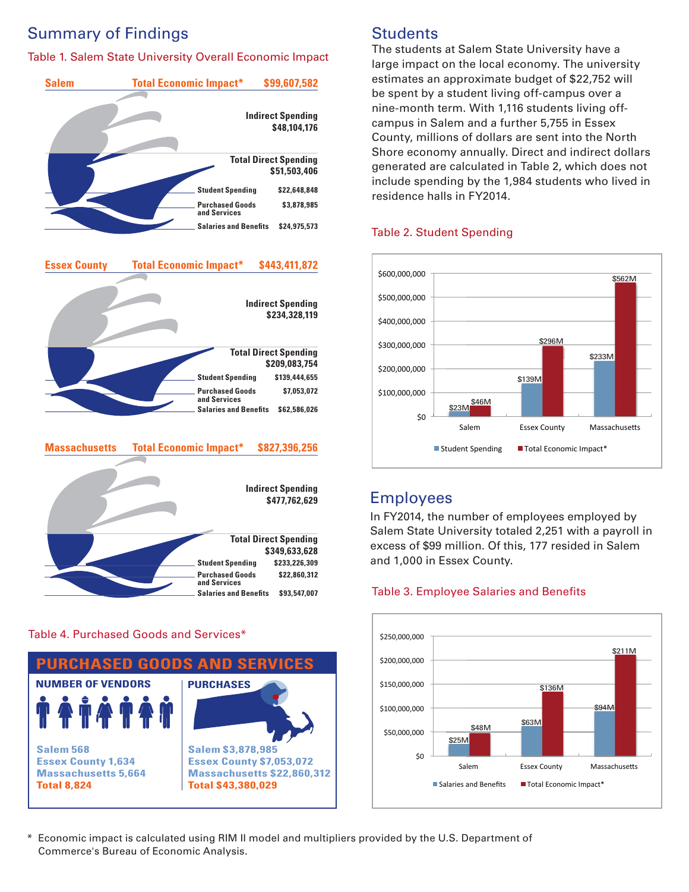# Summary of Findings

## Table 1. Salem State University Overall Economic Impact







## Table 4. Purchased Goods and Services\*



# **Students**

estimates an approximate budget of \$22,752 will be spent by a student living off-campus over a nine-month term. With 1,116 students living offcampus in Salem and a further 5,755 in Essex The students at Salem State University have a large impact on the local economy. The university County, millions of dollars are sent into the North Shore economy annually. Direct and indirect dollars generated are calculated in Table 2, which does not include spending by the 1,984 students who lived in residence halls in FY2014.

## Table 2. Student Spending



## Employees

In FY2014, the number of employees employed by Salem State University totaled 2,251 with a payroll in excess of \$99 million. Of this, 177 resided in Salem and 1,000 in Essex County.

#### **Table 3. Employee Salaries and Benefits**



#### \* Economic impact is calculated using RIM II model and multipliers provided by the U.S. Department of Commerce's Bureau of Economic Analysis.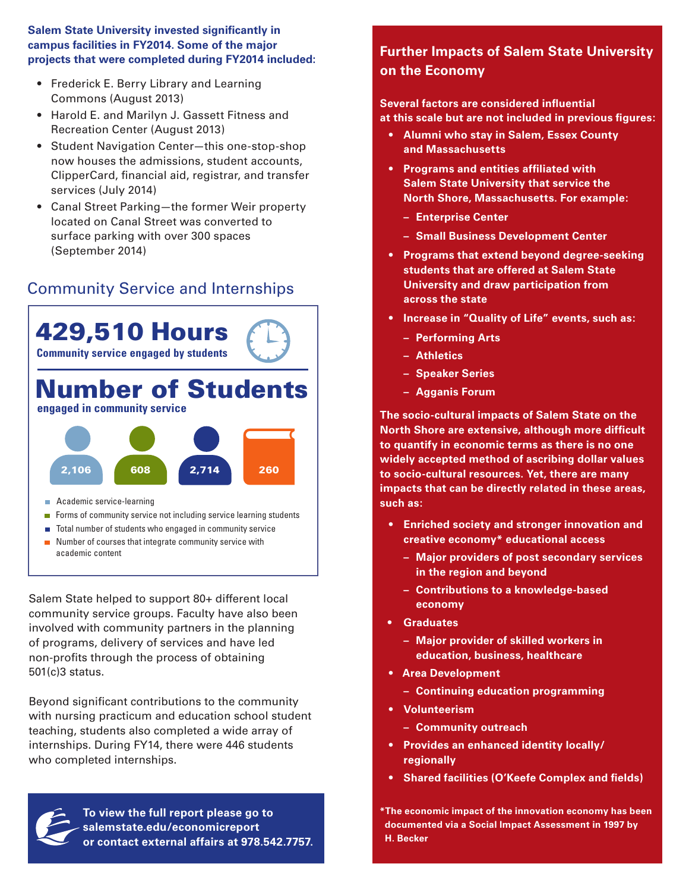#### **Salem State University invested significantly in campus facilities in FY2014. Some of the major projects that were completed during FY2014 included:**

- Frederick E. Berry Library and Learning Commons (August 2013)
- Harold E. and Marilyn J. Gassett Fitness and Recreation Center (August 2013)
- Student Navigation Center—this one-stop-shop now houses the admissions, student accounts, ClipperCard, financial aid, registrar, and transfer services (July 2014)
- Canal Street Parking—the former Weir property located on Canal Street was converted to surface parking with over 300 spaces (September 2014)

## Community Service and Internships



- Forms of community service not including service learning students
- Total number of students who engaged in community service
- $\blacksquare$  Number of courses that integrate community service with academic content

Salem State helped to support 80+ different local community service groups. Faculty have also been involved with community partners in the planning of programs, delivery of services and have led non-profits through the process of obtaining 501(c)3 status.

Beyond significant contributions to the community with nursing practicum and education school student teaching, students also completed a wide array of internships. During FY14, there were 446 students who completed internships.



**To view the full report please go to salemstate.edu/economicreport or contact external affairs at 978.542.7757.**

## **Further Impacts of Salem State University on the Economy**

#### **Several factors are considered influential at this scale but are not included in previous figures:**

- **• Alumni who stay in Salem, Essex County and Massachusetts**
- **• Programs and entities affiliated with Salem State University that service the North Shore, Massachusetts. For example:**
	- **Enterprise Center**
	- **Small Business Development Center**
- **• Programs that extend beyond degree-seeking students that are offered at Salem State University and draw participation from across the state**
- **• Increase in "Quality of Life" events, such as:**
	- **Performing Arts**
	- **Athletics**
	- **Speaker Series**
	- **Agganis Forum**

**The socio-cultural impacts of Salem State on the North Shore are extensive, although more difficult to quantify in economic terms as there is no one widely accepted method of ascribing dollar values to socio-cultural resources. Yet, there are many impacts that can be directly related in these areas, such as:**

- **• Enriched society and stronger innovation and creative economy\* educational access**
	- **Major providers of post secondary services in the region and beyond**
	- **Contributions to a knowledge-based economy**
- **• Graduates**
	- **Major provider of skilled workers in education, business, healthcare**
- **• Area Development**
	- **Continuing education programming**
- **• Volunteerism**
	- **Community outreach**
- **• Provides an enhanced identity locally/ regionally**
- **• Shared facilities (O'Keefe Complex and fields)**

**\*The economic impact of the innovation economy has been documented via a Social Impact Assessment in 1997 by H. Becker**